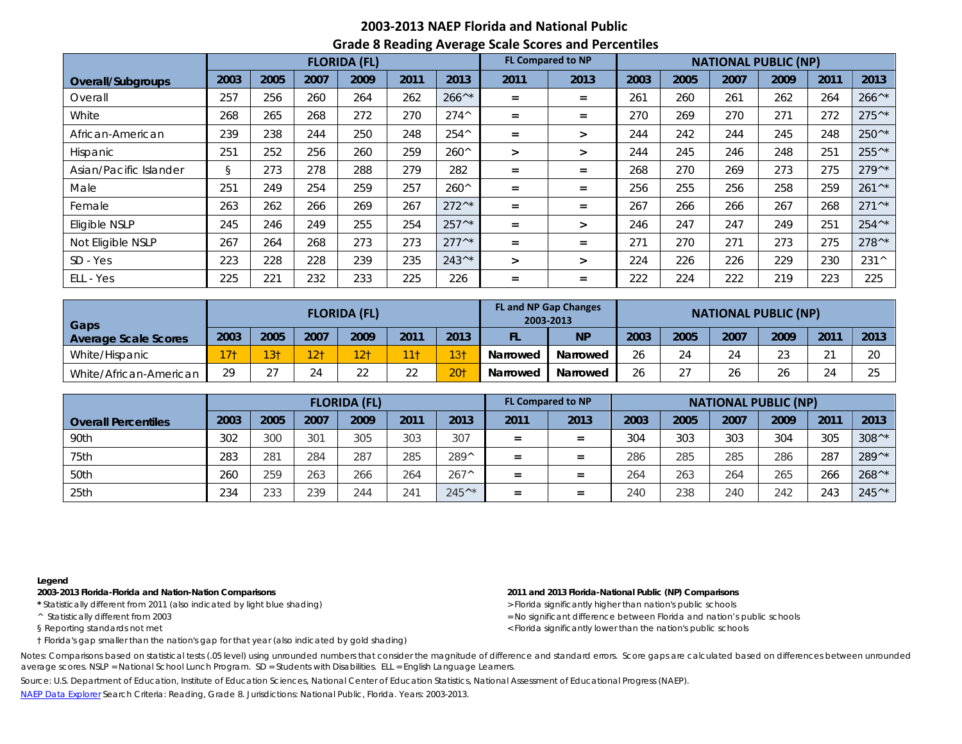## **2003-2013 NAEP Florida and National Public Grade 8 Reading Average Scale Scores and Percentiles**

|                        |      |      |      | <b>FLORIDA (FL)</b> |      |                  | <b>FL Compared to NP</b> |                   | <b>NATIONAL PUBLIC (NP)</b> |      |      |      |      |                  |  |
|------------------------|------|------|------|---------------------|------|------------------|--------------------------|-------------------|-----------------------------|------|------|------|------|------------------|--|
| Overall/Subgroups      | 2003 | 2005 | 2007 | 2009                | 2011 | 2013             | 2011                     | 2013              | 2003                        | 2005 | 2007 | 2009 | 2011 | 2013             |  |
| Overall                | 257  | 256  | 260  | 264                 | 262  | $266^{\wedge *}$ | $=$                      | $=$               | 261                         | 260  | 261  | 262  | 264  | $266^{\wedge*}$  |  |
| White                  | 268  | 265  | 268  | 272                 | 270  | $274^{\wedge}$   | $=$                      | $\qquad \qquad =$ | 270                         | 269  | 270  | 271  | 272  | $275^{\wedge*}$  |  |
| African-American       | 239  | 238  | 244  | 250                 | 248  | $254^{\wedge}$   | $=$                      | >                 | 244                         | 242  | 244  | 245  | 248  | 250^*            |  |
| Hispanic               | 251  | 252  | 256  | 260                 | 259  | $260^{\circ}$    | $\geq$                   | $\geq$            | 244                         | 245  | 246  | 248  | 251  | 255^*            |  |
| Asian/Pacific Islander | S.   | 273  | 278  | 288                 | 279  | 282              | $=$                      | $\qquad \qquad =$ | 268                         | 270  | 269  | 273  | 275  | $279^{\wedge*}$  |  |
| Male                   | 251  | 249  | 254  | 259                 | 257  | $260^{\circ}$    | $=$                      | $\qquad \qquad =$ | 256                         | 255  | 256  | 258  | 259  | $261^{\wedge *}$ |  |
| Female                 | 263  | 262  | 266  | 269                 | 267  | $272^{\wedge *}$ | $=$                      | $\qquad \qquad =$ | 267                         | 266  | 266  | 267  | 268  | $271^{\wedge*}$  |  |
| Eligible NSLP          | 245  | 246  | 249  | 255                 | 254  | $257^{\wedge *}$ | $=$                      | $\geq$            | 246                         | 247  | 247  | 249  | 251  | 254^*            |  |
| Not Eligible NSLP      | 267  | 264  | 268  | 273                 | 273  | $277^{\wedge *}$ | $=$                      | $\qquad \qquad =$ | 271                         | 270  | 271  | 273  | 275  | $278^{\wedge *}$ |  |
| SD - Yes               | 223  | 228  | 228  | 239                 | 235  | $243^{\wedge *}$ | $\geq$                   | $\geq$            | 224                         | 226  | 226  | 229  | 230  | $231^{\circ}$    |  |
| ELL - Yes              | 225  | 221  | 232  | 233                 | 225  | 226              | $=$                      | Ξ                 | 222                         | 224  | 222  | 219  | 223  | 225              |  |

| Gaps                        |                 |                  |                 | <b>FLORIDA (FL)</b> |                      |                 | <b>FL and NP Gap Changes</b><br>2003-2013 | <b>NATIONAL PUBLIC (NP)</b> |      |      |      |        |      |                 |
|-----------------------------|-----------------|------------------|-----------------|---------------------|----------------------|-----------------|-------------------------------------------|-----------------------------|------|------|------|--------|------|-----------------|
| <b>Average Scale Scores</b> | 2003            | 2005             | 2007            | 2009                | 2011                 | 2013            | FL                                        | <b>NP</b>                   | 2003 | 2005 | 2007 | 2009   | 201' | 2013            |
| White/Hispanic              | 17 <sub>1</sub> | 13 <sub>1</sub>  | 12 <sub>1</sub> |                     |                      | 13 <sub>1</sub> | Narrowed                                  | Narrowed                    | 26   | 24   | 24   | $\sim$ |      | $\cap$          |
| White/African-American      | 29              | へつ<br><u>، ،</u> | 24              | $\cap$              | $\cap$<br>$\epsilon$ | 20 <sub>1</sub> | Narrowed                                  | Narrowed                    | 26   | つフ   | 26   | 26     |      | $\cap$ $\Gamma$ |

|                            |      |      |      | <b>FLORIDA (FL)</b> |      |                 |      | <b>FL Compared to NP</b> | <b>NATIONAL PUBLIC (NP)</b> |      |      |      |      |                  |  |
|----------------------------|------|------|------|---------------------|------|-----------------|------|--------------------------|-----------------------------|------|------|------|------|------------------|--|
| <b>Overall Percentiles</b> | 2003 | 2005 | 2007 | 2009                | 2011 | 2013            | 2011 | 2013                     | 2003                        | 2005 | 2007 | 2009 | 2011 | 2013             |  |
| 90th                       | 302  | 300  | 301  | 305                 | 303  | 307             | $=$  | $=$                      | 304                         | 303  | 303  | 304  | 305  | $308^{\wedge *}$ |  |
| 75th                       | 283  | 281  | 284  | 287                 | 285  | 289^            | $=$  | $=$                      | 286                         | 285  | 285  | 286  | 287  | 289^*            |  |
| 50th                       | 260  | 259  | 263  | 266                 | 264  | $267^{\circ}$   | $=$  | $=$                      | 264                         | 263  | 264  | 265  | 266  | $268^{\wedge *}$ |  |
| 25th                       | 234  | 233  | 239  | 244                 | 241  | $245^{\wedge*}$ | $=$  | $=$                      | 240                         | 238  | 240  | 242  | 243  | $245^{\wedge*}$  |  |

### **Legend**

**2003-2013 Florida-Florida and Nation-Nation Comparisons 2011 and 2013 Florida-National Public (NP) Comparisons**

- \* Statistically different from 2011 (also indicated by light blue shading) **Also indicated by light blue shading** and the shading and the shading than nation's public schools **\*** Florida significantly higher than nation's
- 
- 
- † Florida's gap smaller than the nation's gap for that year (also indicated by gold shading)

- 
- ^ Statistically different from 2003 **Exercise 2003** = No significant difference between Florida and nation's public schools
- § Reporting standards not met < Florida significantly lower than the nation's public schools

Notes: Comparisons based on statistical tests (.05 level) using unrounded numbers that consider the magnitude of difference and standard errors. Score gaps are calculated based on differences between unrounded average scores. NSLP = National School Lunch Program. SD = Students with Disabilities. ELL = English Language Learners.

Source: U.S. Department of Education, Institute of Education Sciences, National Center of Education Statistics, National Assessment of Educational Progress (NAEP).

[NAEP Data Explorer](http://nces.ed.gov/nationsreportcard/naepdata/) Search Criteria: Reading, Grade 8. Jurisdictions: National Public, Florida. Years: 2003-2013.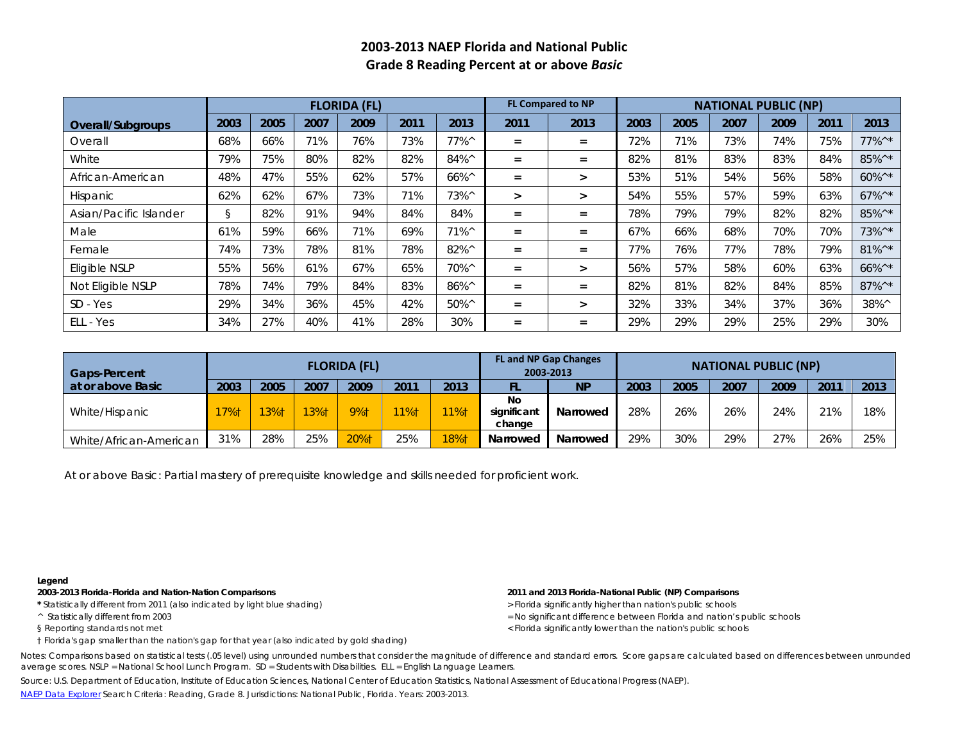## **2003-2013 NAEP Florida and National Public Grade 8 Reading Percent at or above** *Basic*

|                        |      |      |      | <b>FLORIDA (FL)</b> |      |                                      |                   | <b>FL Compared to NP</b> | <b>NATIONAL PUBLIC (NP)</b> |      |      |      |      |                      |  |
|------------------------|------|------|------|---------------------|------|--------------------------------------|-------------------|--------------------------|-----------------------------|------|------|------|------|----------------------|--|
| Overall/Subgroups      | 2003 | 2005 | 2007 | 2009                | 2011 | 2013                                 | 2011              | 2013                     | 2003                        | 2005 | 2007 | 2009 | 2011 | 2013                 |  |
| Overall                | 68%  | 66%  | 71%  | 76%                 | 73%  | $77\%^{\circ}$                       | $=$               | $=$                      | 72%                         | 71%  | 73%  | 74%  | 75%  | 77%^*                |  |
| White                  | 79%  | 75%  | 80%  | 82%                 | 82%  | $84\%$                               | $=$               | $\equiv$                 | 82%                         | 81%  | 83%  | 83%  | 84%  | 85%^*                |  |
| African-American       | 48%  | 47%  | 55%  | 62%                 | 57%  | $66\%^{\circ}$                       | $=$               | $\geq$                   | 53%                         | 51%  | 54%  | 56%  | 58%  | 60%^*                |  |
| Hispanic               | 62%  | 62%  | 67%  | 73%                 | 71%  | 73%^                                 | $\geq$            | $\geq$                   | 54%                         | 55%  | 57%  | 59%  | 63%  | $67\%$ <sup>^*</sup> |  |
| Asian/Pacific Islander | ş    | 82%  | 91%  | 94%                 | 84%  | 84%                                  | $=$               | $=$                      | 78%                         | 79%  | 79%  | 82%  | 82%  | 85%^*                |  |
| Male                   | 61%  | 59%  | 66%  | 71%                 | 69%  | $71\%^{\circ}$                       | $=$               | $=$                      | 67%                         | 66%  | 68%  | 70%  | 70%  | 73%^*                |  |
| Female                 | 74%  | 73%  | 78%  | 81%                 | 78%  | 82%^                                 | $=$               | $=$                      | 77%                         | 76%  | 77%  | 78%  | 79%  | 81%^*                |  |
| Eligible NSLP          | 55%  | 56%  | 61%  | 67%                 | 65%  | 70%^                                 | $=$               | $\geq$                   | 56%                         | 57%  | 58%  | 60%  | 63%  | $66\%$ <sup>^*</sup> |  |
| Not Eligible NSLP      | 78%  | 74%  | 79%  | 84%                 | 83%  | $86\%$ <sup><math>\land</math></sup> | $=$               | $=$                      | 82%                         | 81%  | 82%  | 84%  | 85%  | 87%^*                |  |
| $SD - Yes$             | 29%  | 34%  | 36%  | 45%                 | 42%  | $50\%$                               | $=$               | $\geq$                   | 32%                         | 33%  | 34%  | 37%  | 36%  | 38%^                 |  |
| ELL - Yes              | 34%  | 27%  | 40%  | 41%                 | 28%  | 30%                                  | $\qquad \qquad =$ | $=$                      | 29%                         | 29%  | 29%  | 25%  | 29%  | 30%                  |  |

| <b>Gaps-Percent</b>    |      |                 |                 | <b>FLORIDA (FL)</b> |      |      | <b>FL and NP Gap Changes</b><br>2003-2013 | <b>NATIONAL PUBLIC (NP)</b> |      |      |      |      |      |      |
|------------------------|------|-----------------|-----------------|---------------------|------|------|-------------------------------------------|-----------------------------|------|------|------|------|------|------|
| at or above Basic      | 2003 | 2005            | 2007            | 2009                | 2011 | 2013 | FL                                        | <b>NP</b>                   | 2003 | 2005 | 2007 | 2009 | 2011 | 2013 |
| White/Hispanic         | 17%1 | $13%$ $\dagger$ | $13%$ $\dagger$ | 9%†                 | 11%  | 1%1  | No<br>significant<br>change               | Narrowed                    | 28%  | 26%  | 26%  | 24%  | 21%  | 18%  |
| White/African-American | 31%  | 28%             | 25%             | 20%t                | 25%  | 8%†  | Narrowed                                  | Narrowed                    | 29%  | 30%  | 29%  | 27%  | 26%  | 25%  |

At or above *Basic*: Partial mastery of prerequisite knowledge and skills needed for proficient work.

### **Legend**

**2003-2013 Florida-Florida and Nation-Nation Comparisons 2011 and 2013 Florida-National Public (NP) Comparisons**

\* Statistically different from 2011 (also indicated by light blue shading) **Also indicated by light blue shading** and the shading and the shading than nation's public schools **\*** Florida significantly higher than nation's

† Florida's gap smaller than the nation's gap for that year (also indicated by gold shading)

- 
- ^ Statistically different from 2003 **Exercise 2003** = No significant difference between Florida and nation's public schools
- § Reporting standards not met < Florida significantly lower than the nation's public schools

Notes: Comparisons based on statistical tests (.05 level) using unrounded numbers that consider the magnitude of difference and standard errors. Score gaps are calculated based on differences between unrounded average scores. NSLP = National School Lunch Program. SD = Students with Disabilities. ELL = English Language Learners.

Source: U.S. Department of Education, Institute of Education Sciences, National Center of Education Statistics, National Assessment of Educational Progress (NAEP).

[NAEP Data Explorer](http://nces.ed.gov/nationsreportcard/naepdata/) Search Criteria: Reading, Grade 8. Jurisdictions: National Public, Florida. Years: 2003-2013.